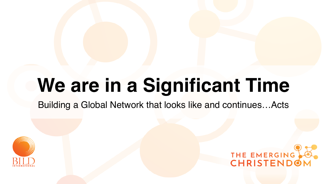# **We are in a Significant Time** Building a Global Network that looks like and continues…Acts



# THE EMERGING CHRISTENDOM

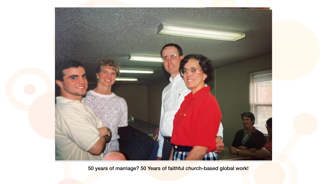

50 years of marriage? 50 Years of faithful church-based global work!

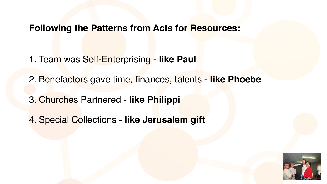### **Following the Patterns from Acts for Resources:**

- 1. Team was Self-Enterprising **like Paul**
- 2. Benefactors gave time, finances, talents **like Phoebe**
- 3. Churches Partnered **like Philippi**
- 4. Special Collections - **like Jerusalem gift**



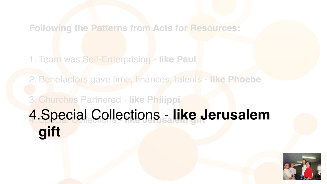### **Following the Patterns from Acts for Resources:**

### 1. Team was Self-Enterprising - **like Paul**

2. Benefactors gave time, finances, talents - **like Phoebe**

## 3. Churches Partnered - **like Philippi**  4. Special Collections - like Jerusalem **gift**



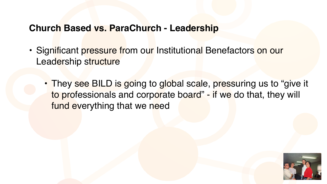### **Church Based vs. ParaChurch - Leadership**

- Significant pressure from our Institutional Benefactors on our Leadership structure
	- They see BILD is going to global scale, pressuring us to "give it to professionals and corporate board" - if we do that, they will fund everything that we need

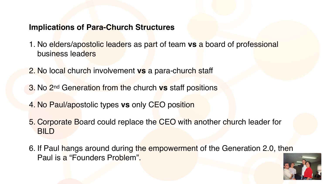#### **Implications of Para-Church Structures**

- 1. No elders/apostolic leaders as part of team **vs** a board of professional business leaders
- 2. No local church involvement **vs** a para-church staff
- 3. No 2nd Generation from the church **vs** staff positions
- 4. No Paul/apostolic types **vs** only CEO position
- 5. Corporate Board could replace the CEO with another church leader for BILD
- 6. If Paul hangs around during the empowerment of the Generation 2.0, then Paul is a "Founders Problem".



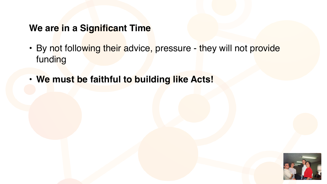### **We are in a Significant Time**

- By not following their advice, pressure they will not provide funding
- **• We must be faithful to building like Acts!**



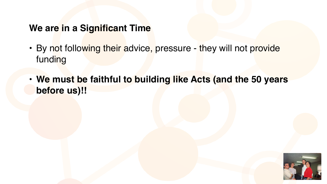### **We are in a Significant Time**

- By not following their advice, pressure they will not provide funding
- **before us)!!**

### **• We must be faithful to building like Acts (and the 50 years**



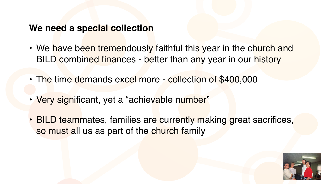#### **We need a special collection**

- 
- The time demands excel more collection of \$400,000
- Very significant, yet a "achievable number"
- so must all us as part of the church family

• We have been tremendously faithful this year in the church and BILD combined finances - better than any year in our history

• BILD teammates, families are currently making great sacrifices,



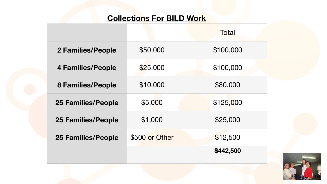#### **Collections For BILD Work**





|                           |                | <b>Total</b> |
|---------------------------|----------------|--------------|
| 2 Families/People         | \$50,000       | \$100,000    |
| <b>4 Families/People</b>  | \$25,000       | \$100,000    |
| <b>8 Families/People</b>  | \$10,000       | \$80,000     |
| <b>25 Families/People</b> | \$5,000        | \$125,000    |
| <b>25 Families/People</b> | \$1,000        | \$25,000     |
| <b>25 Families/People</b> | \$500 or Other | \$12,500     |
|                           |                | \$442,500    |